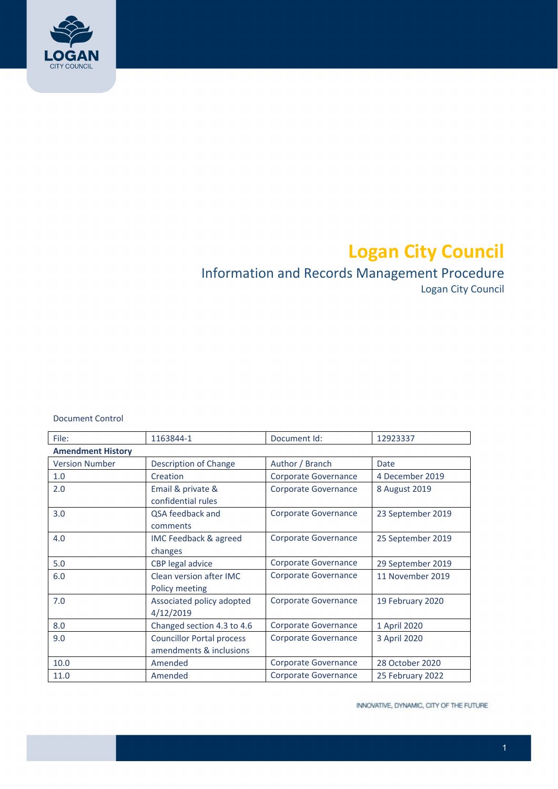

# **Logan City Council**

# Information and Records Management Procedure

Logan City Council

Document Control

| File:                    | 1163844-1                                                   | Document Id:                | 12923337          |  |
|--------------------------|-------------------------------------------------------------|-----------------------------|-------------------|--|
| <b>Amendment History</b> |                                                             |                             |                   |  |
| <b>Version Number</b>    | Description of Change                                       | Author / Branch             | Date              |  |
| 1.0                      | Creation                                                    | Corporate Governance        | 4 December 2019   |  |
| 2.0                      | Email & private &<br>confidential rules                     | <b>Corporate Governance</b> | 8 August 2019     |  |
| 3.0                      | QSA feedback and<br>comments                                | Corporate Governance        | 23 September 2019 |  |
| 4.0                      | IMC Feedback & agreed<br>changes                            | Corporate Governance        | 25 September 2019 |  |
| 5.0                      | CBP legal advice                                            | <b>Corporate Governance</b> | 29 September 2019 |  |
| 6.0                      | Clean version after IMC<br>Policy meeting                   | Corporate Governance        | 11 November 2019  |  |
| 7.0                      | Associated policy adopted<br>4/12/2019                      | Corporate Governance        | 19 February 2020  |  |
| 8.0                      | Changed section 4.3 to 4.6                                  | Corporate Governance        | 1 April 2020      |  |
| 9.0                      | <b>Councillor Portal process</b><br>amendments & inclusions | Corporate Governance        | 3 April 2020      |  |
| 10.0                     | Amended                                                     | Corporate Governance        | 28 October 2020   |  |
| 11.0                     | Amended                                                     | Corporate Governance        | 25 February 2022  |  |

INNOVATIVE, DYNAMIC, CITY OF THE FUTURE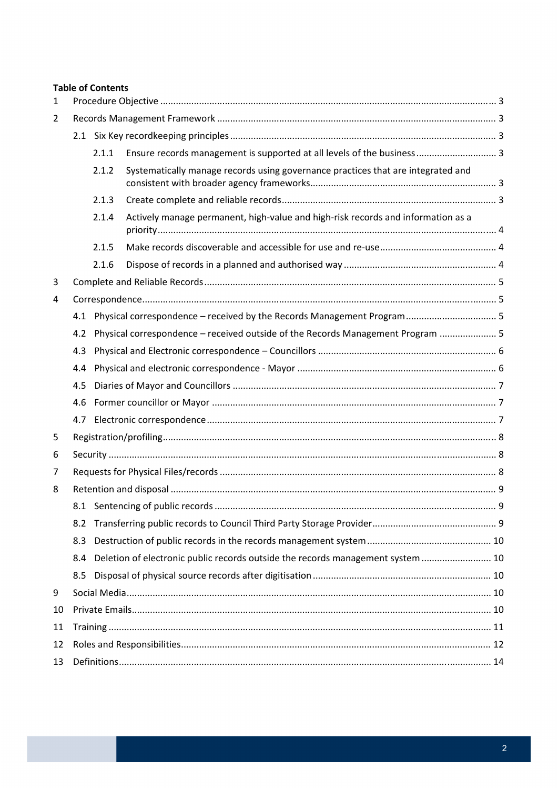#### **Table of Contents**

| $\mathbf{1}$ |     |       |                                                                                  |  |  |
|--------------|-----|-------|----------------------------------------------------------------------------------|--|--|
| 2            |     |       |                                                                                  |  |  |
|              |     |       |                                                                                  |  |  |
|              |     | 2.1.1 | Ensure records management is supported at all levels of the business 3           |  |  |
|              |     | 2.1.2 | Systematically manage records using governance practices that are integrated and |  |  |
|              |     | 2.1.3 |                                                                                  |  |  |
|              |     | 2.1.4 | Actively manage permanent, high-value and high-risk records and information as a |  |  |
|              |     | 2.1.5 |                                                                                  |  |  |
|              |     | 2.1.6 |                                                                                  |  |  |
| 3            |     |       |                                                                                  |  |  |
| 4            |     |       |                                                                                  |  |  |
|              |     |       | 4.1 Physical correspondence - received by the Records Management Program 5       |  |  |
|              | 4.2 |       | Physical correspondence - received outside of the Records Management Program  5  |  |  |
|              | 4.3 |       |                                                                                  |  |  |
|              | 4.4 |       |                                                                                  |  |  |
|              | 4.5 |       |                                                                                  |  |  |
|              | 4.6 |       |                                                                                  |  |  |
|              | 4.7 |       |                                                                                  |  |  |
| 5            |     |       |                                                                                  |  |  |
| 6            |     |       |                                                                                  |  |  |
| 7            |     |       |                                                                                  |  |  |
| 8            |     |       |                                                                                  |  |  |
|              |     |       |                                                                                  |  |  |
|              | 8.2 |       |                                                                                  |  |  |
|              | 8.3 |       |                                                                                  |  |  |
|              | 8.4 |       | Deletion of electronic public records outside the records management system  10  |  |  |
|              | 8.5 |       |                                                                                  |  |  |
| 9            |     |       |                                                                                  |  |  |
| 10           |     |       |                                                                                  |  |  |
| 11           |     |       |                                                                                  |  |  |
| 12           |     |       |                                                                                  |  |  |
| 13           |     |       |                                                                                  |  |  |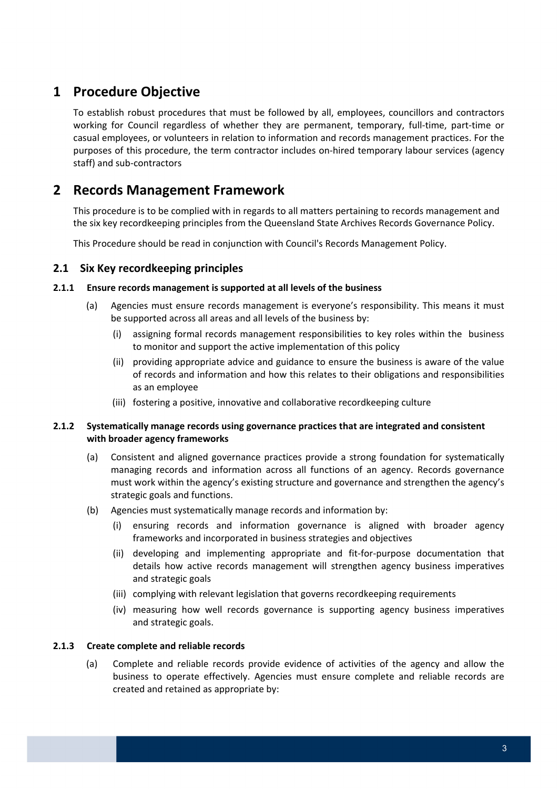# **1 Procedure Objective**

 To establish robust procedures that must be followed by all, employees, councillors and contractors working for Council regardless of whether they are permanent, temporary, full‐time, part‐time or casual employees, or volunteers in relation to information and records management practices. For the purposes of this procedure, the term contractor includes on‐hired temporary labour services (agency staff) and sub‐contractors

## **2 Records Management Framework**

 This procedure is to be complied with in regards to all matters pertaining to records management and the six key recordkeeping principles from the Queensland State Archives Records Governance Policy.

This Procedure should be read in conjunction with Council's Records Management Policy.

#### **2.1 Six Key recordkeeping principles**

#### **2.1.1 Ensure records management is supported at all levels of the business**

- (a) Agencies must ensure records management is everyone's responsibility. This means it must be supported across all areas and all levels of the business by:
	- (i) assigning formal records management responsibilities to key roles within the business to monitor and support the active implementation of this policy
	- (ii) providing appropriate advice and guidance to ensure the business is aware of the value of records and information and how this relates to their obligations and responsibilities as an employee
	- (iii) fostering a positive, innovative and collaborative recordkeeping culture

#### **2.1.2 Systematically manage records using governance practices that are integrated and consistent with broader agency frameworks**

- (a) Consistent and aligned governance practices provide a strong foundation for systematically managing records and information across all functions of an agency. Records governance must work within the agency's existing structure and governance and strengthen the agency's strategic goals and functions.
- (b) Agencies must systematically manage records and information by:
	- (i) ensuring records and information governance is aligned with broader agency frameworks and incorporated in business strategies and objectives
	- (ii) developing and implementing appropriate and fit‐for‐purpose documentation that details how active records management will strengthen agency business imperatives and strategic goals
	- (iii) complying with relevant legislation that governs recordkeeping requirements
	- (iv) measuring how well records governance is supporting agency business imperatives and strategic goals.

#### **2.1.3 Create complete and reliable records**

 (a) Complete and reliable records provide evidence of activities of the agency and allow the business to operate effectively. Agencies must ensure complete and reliable records are created and retained as appropriate by: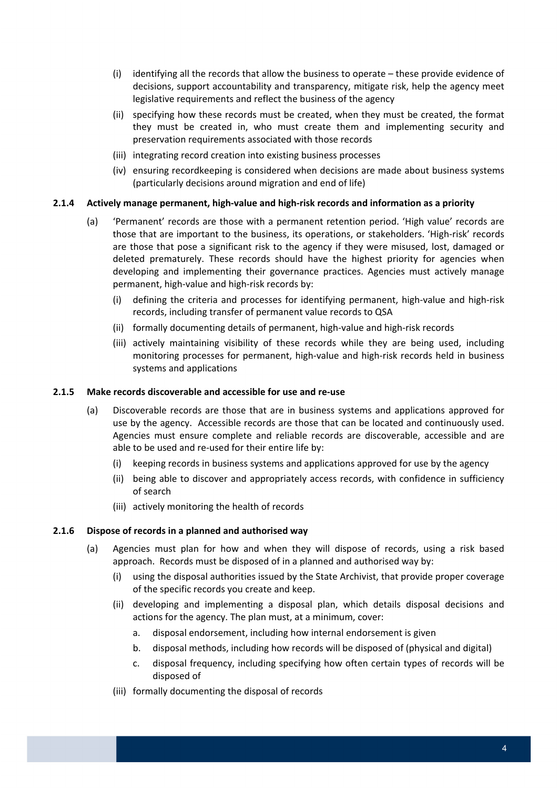- (i) identifying all the records that allow the business to operate these provide evidence of decisions, support accountability and transparency, mitigate risk, help the agency meet legislative requirements and reflect the business of the agency
- (ii) specifying how these records must be created, when they must be created, the format they must be created in, who must create them and implementing security and preservation requirements associated with those records
- (iii) integrating record creation into existing business processes
- (iv) ensuring recordkeeping is considered when decisions are made about business systems (particularly decisions around migration and end of life)

#### 2.1.4 Actively manage permanent, high-value and high-risk records and information as a priority

- (a) 'Permanent' records are those with a permanent retention period. 'High value' records are those that are important to the business, its operations, or stakeholders. 'High‐risk' records are those that pose a significant risk to the agency if they were misused, lost, damaged or deleted prematurely. These records should have the highest priority for agencies when developing and implementing their governance practices. Agencies must actively manage permanent, high‐value and high‐risk records by:
	- (i) defining the criteria and processes for identifying permanent, high‐value and high‐risk records, including transfer of permanent value records to QSA
	- (ii) formally documenting details of permanent, high‐value and high‐risk records
	- (iii) actively maintaining visibility of these records while they are being used, including monitoring processes for permanent, high‐value and high‐risk records held in business systems and applications

#### **2.1.5 Make records discoverable and accessible for use and re‐use**

- (a) Discoverable records are those that are in business systems and applications approved for use by the agency. Accessible records are those that can be located and continuously used. Agencies must ensure complete and reliable records are discoverable, accessible and are able to be used and re‐used for their entire life by:
	- (i) keeping records in business systems and applications approved for use by the agency
	- (ii) being able to discover and appropriately access records, with confidence in sufficiency of search
	- (iii) actively monitoring the health of records

#### **2.1.6 Dispose of records in a planned and authorised way**

- (a) Agencies must plan for how and when they will dispose of records, using a risk based approach. Records must be disposed of in a planned and authorised way by:
	- (i) using the disposal authorities issued by the State Archivist, that provide proper coverage of the specific records you create and keep.
	- (ii) developing and implementing a disposal plan, which details disposal decisions and actions for the agency. The plan must, at a minimum, cover:
		- a. disposal endorsement, including how internal endorsement is given
		- b. disposal methods, including how records will be disposed of (physical and digital)
		- c. disposal frequency, including specifying how often certain types of records will be disposed of
	- (iii) formally documenting the disposal of records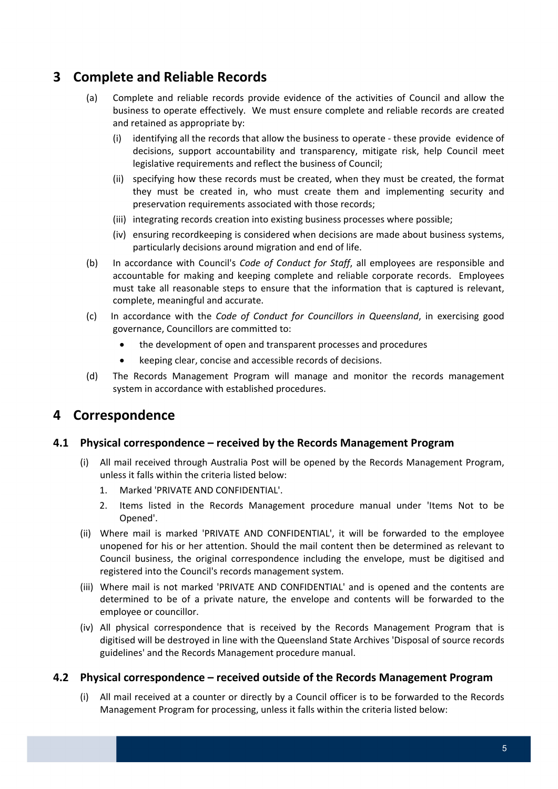# **3 Complete and Reliable Records**

- (a) Complete and reliable records provide evidence of the activities of Council and allow the business to operate effectively. We must ensure complete and reliable records are created and retained as appropriate by:
	- (i) identifying all the records that allow the business to operate ‐ these provide evidence of decisions, support accountability and transparency, mitigate risk, help Council meet legislative requirements and reflect the business of Council;
	- (ii) specifying how these records must be created, when they must be created, the format they must be created in, who must create them and implementing security and preservation requirements associated with those records;
	- (iii) integrating records creation into existing business processes where possible;
	- (iv) ensuring recordkeeping is considered when decisions are made about business systems, particularly decisions around migration and end of life.
- (b) In accordance with Council's *Code of Conduct for Staff*, all employees are responsible and accountable for making and keeping complete and reliable corporate records. Employees must take all reasonable steps to ensure that the information that is captured is relevant, complete, meaningful and accurate.
- (c) In accordance with the *Code of Conduct for Councillors in Queensland*, in exercising good governance, Councillors are committed to:
	- the development of open and transparent processes and procedures
	- keeping clear, concise and accessible records of decisions.
- (d) The Records Management Program will manage and monitor the records management system in accordance with established procedures.

### **4 Correspondence**

### **4.1 Physical correspondence – received by the Records Management Program**

- (i) All mail received through Australia Post will be opened by the Records Management Program, unless it falls within the criteria listed below:
	- 1. Marked 'PRIVATE AND CONFIDENTIAL'.
	- 2. Items listed in the Records Management procedure manual under 'Items Not to be Opened'.
- (ii) Where mail is marked 'PRIVATE AND CONFIDENTIAL', it will be forwarded to the employee unopened for his or her attention. Should the mail content then be determined as relevant to Council business, the original correspondence including the envelope, must be digitised and registered into the Council's records management system.
- (iii) Where mail is not marked 'PRIVATE AND CONFIDENTIAL' and is opened and the contents are determined to be of a private nature, the envelope and contents will be forwarded to the employee or councillor.
- (iv) All physical correspondence that is received by the Records Management Program that is digitised will be destroyed in line with the Queensland State Archives 'Disposal of source records guidelines' and the Records Management procedure manual.

#### **4.2 Physical correspondence – received outside of the Records Management Program**

 (i) All mail received at a counter or directly by a Council officer is to be forwarded to the Records Management Program for processing, unless it falls within the criteria listed below: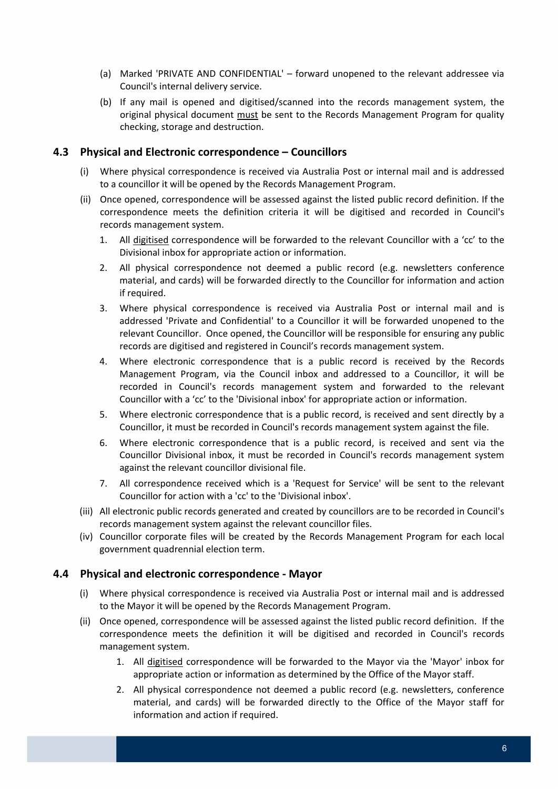- (a) Marked 'PRIVATE AND CONFIDENTIAL' forward unopened to the relevant addressee via Council's internal delivery service.
- (b) If any mail is opened and digitised/scanned into the records management system, the original physical document must be sent to the Records Management Program for quality checking, storage and destruction.

### **4.3 Physical and Electronic correspondence – Councillors**

- (i) Where physical correspondence is received via Australia Post or internal mail and is addressed to a councillor it will be opened by the Records Management Program.
- (ii) Once opened, correspondence will be assessed against the listed public record definition. If the correspondence meets the definition criteria it will be digitised and recorded in Council's records management system.
	- 1. All digitised correspondence will be forwarded to the relevant Councillor with a 'cc' to the Divisional inbox for appropriate action or information.
	- 2. All physical correspondence not deemed a public record (e.g. newsletters conference material, and cards) will be forwarded directly to the Councillor for information and action if required.
	- 3. Where physical correspondence is received via Australia Post or internal mail and is addressed 'Private and Confidential' to a Councillor it will be forwarded unopened to the relevant Councillor. Once opened, the Councillor will be responsible for ensuring any public records are digitised and registered in Council's records management system.
	- 4. Where electronic correspondence that is a public record is received by the Records Management Program, via the Council inbox and addressed to a Councillor, it will be recorded in Council's records management system and forwarded to the relevant Councillor with a 'cc' to the 'Divisional inbox' for appropriate action or information.
	- 5. Where electronic correspondence that is a public record, is received and sent directly by a Councillor, it must be recorded in Council's records management system against the file.
	- 6. Where electronic correspondence that is a public record, is received and sent via the Councillor Divisional inbox, it must be recorded in Council's records management system against the relevant councillor divisional file.
	- 7. All correspondence received which is a 'Request for Service' will be sent to the relevant Councillor for action with a 'cc' to the 'Divisional inbox'.
- (iii) All electronic public records generated and created by councillors are to be recorded in Council's records management system against the relevant councillor files.
- (iv) Councillor corporate files will be created by the Records Management Program for each local government quadrennial election term.

#### **4.4 Physical and electronic correspondence ‐ Mayor**

- (i) Where physical correspondence is received via Australia Post or internal mail and is addressed to the Mayor it will be opened by the Records Management Program.
- (ii) Once opened, correspondence will be assessed against the listed public record definition. If the correspondence meets the definition it will be digitised and recorded in Council's records management system.
	- 1. All digitised correspondence will be forwarded to the Mayor via the 'Mayor' inbox for appropriate action or information as determined by the Office of the Mayor staff.
	- 2. All physical correspondence not deemed a public record (e.g. newsletters, conference material, and cards) will be forwarded directly to the Office of the Mayor staff for information and action if required.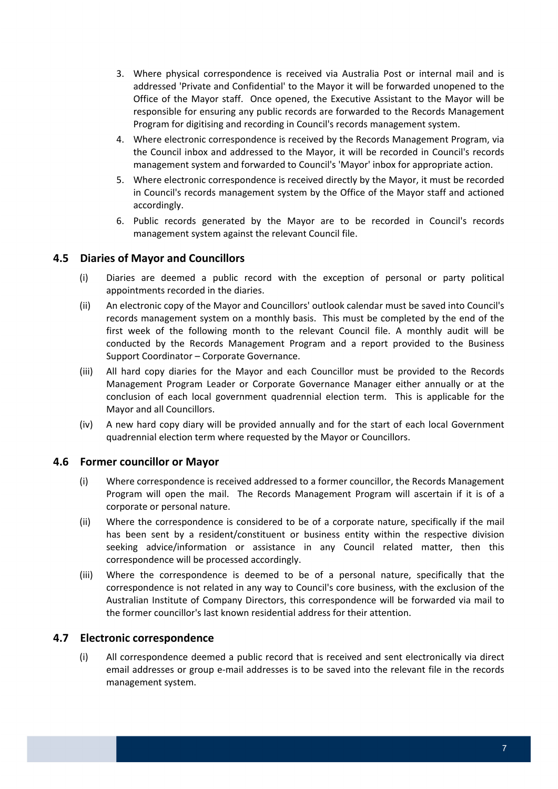- 3. Where physical correspondence is received via Australia Post or internal mail and is addressed 'Private and Confidential' to the Mayor it will be forwarded unopened to the Office of the Mayor staff. Once opened, the Executive Assistant to the Mayor will be responsible for ensuring any public records are forwarded to the Records Management Program for digitising and recording in Council's records management system.
- 4. Where electronic correspondence is received by the Records Management Program, via the Council inbox and addressed to the Mayor, it will be recorded in Council's records management system and forwarded to Council's 'Mayor' inbox for appropriate action.
- 5. Where electronic correspondence is received directly by the Mayor, it must be recorded in Council's records management system by the Office of the Mayor staff and actioned accordingly.
- 6. Public records generated by the Mayor are to be recorded in Council's records management system against the relevant Council file.

### **4.5 Diaries of Mayor and Councillors**

- (i) Diaries are deemed a public record with the exception of personal or party political appointments recorded in the diaries.
- (ii) An electronic copy of the Mayor and Councillors' outlook calendar must be saved into Council's records management system on a monthly basis. This must be completed by the end of the first week of the following month to the relevant Council file. A monthly audit will be conducted by the Records Management Program and a report provided to the Business Support Coordinator – Corporate Governance.
- (iii) All hard copy diaries for the Mayor and each Councillor must be provided to the Records Management Program Leader or Corporate Governance Manager either annually or at the conclusion of each local government quadrennial election term. This is applicable for the Mayor and all Councillors.
- (iv) A new hard copy diary will be provided annually and for the start of each local Government quadrennial election term where requested by the Mayor or Councillors.

### **4.6 Former councillor or Mayor**

- (i) Where correspondence is received addressed to a former councillor, the Records Management Program will open the mail. The Records Management Program will ascertain if it is of a corporate or personal nature.
- (ii) Where the correspondence is considered to be of a corporate nature, specifically if the mail has been sent by a resident/constituent or business entity within the respective division seeking advice/information or assistance in any Council related matter, then this correspondence will be processed accordingly.
- (iii) Where the correspondence is deemed to be of a personal nature, specifically that the correspondence is not related in any way to Council's core business, with the exclusion of the Australian Institute of Company Directors, this correspondence will be forwarded via mail to the former councillor's last known residential address for their attention.

#### **4.7 Electronic correspondence**

 (i) All correspondence deemed a public record that is received and sent electronically via direct email addresses or group e‐mail addresses is to be saved into the relevant file in the records management system.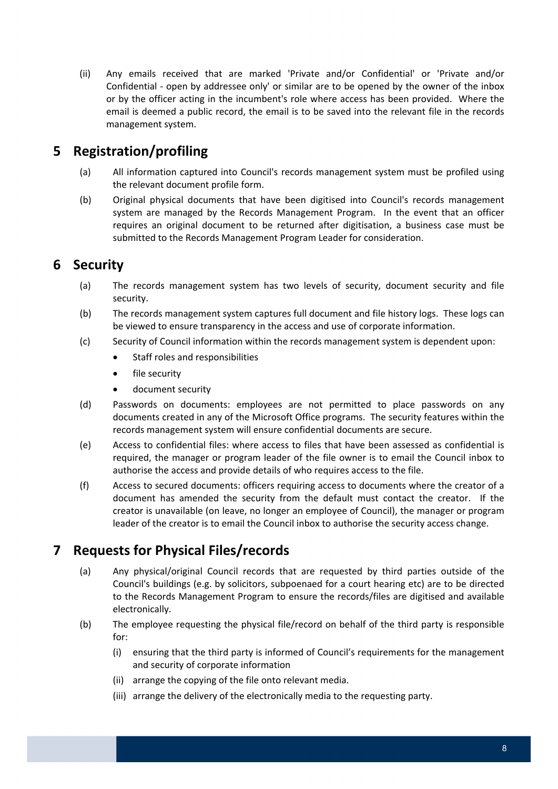(ii) Any emails received that are marked 'Private and/or Confidential' or 'Private and/or Confidential ‐ open by addressee only' or similar are to be opened by the owner of the inbox or by the officer acting in the incumbent's role where access has been provided. Where the email is deemed a public record, the email is to be saved into the relevant file in the records management system.

# **5 Registration/profiling**

- (a) All information captured into Council's records management system must be profiled using the relevant document profile form.
- (b) Original physical documents that have been digitised into Council's records management system are managed by the Records Management Program. In the event that an officer requires an original document to be returned after digitisation, a business case must be submitted to the Records Management Program Leader for consideration.

# **6 Security**

- (a) The records management system has two levels of security, document security and file security.
- (b) The records management system captures full document and file history logs. These logs can be viewed to ensure transparency in the access and use of corporate information.
- (c) Security of Council information within the records management system is dependent upon:
	- Staff roles and responsibilities
	- file security
	- document security
- (d) Passwords on documents: employees are not permitted to place passwords on any documents created in any of the Microsoft Office programs. The security features within the records management system will ensure confidential documents are secure.
- (e) Access to confidential files: where access to files that have been assessed as confidential is required, the manager or program leader of the file owner is to email the Council inbox to authorise the access and provide details of who requires access to the file.
- (f) Access to secured documents: officers requiring access to documents where the creator of a document has amended the security from the default must contact the creator. If the creator is unavailable (on leave, no longer an employee of Council), the manager or program leader of the creator is to email the Council inbox to authorise the security access change.

## **7 Requests for Physical Files/records**

- (a) Any physical/original Council records that are requested by third parties outside of the Council's buildings (e.g. by solicitors, subpoenaed for a court hearing etc) are to be directed to the Records Management Program to ensure the records/files are digitised and available electronically.
- (b) The employee requesting the physical file/record on behalf of the third party is responsible for:
	- (i) ensuring that the third party is informed of Council's requirements for the management and security of corporate information
	- (ii) arrange the copying of the file onto relevant media.
	- (iii) arrange the delivery of the electronically media to the requesting party.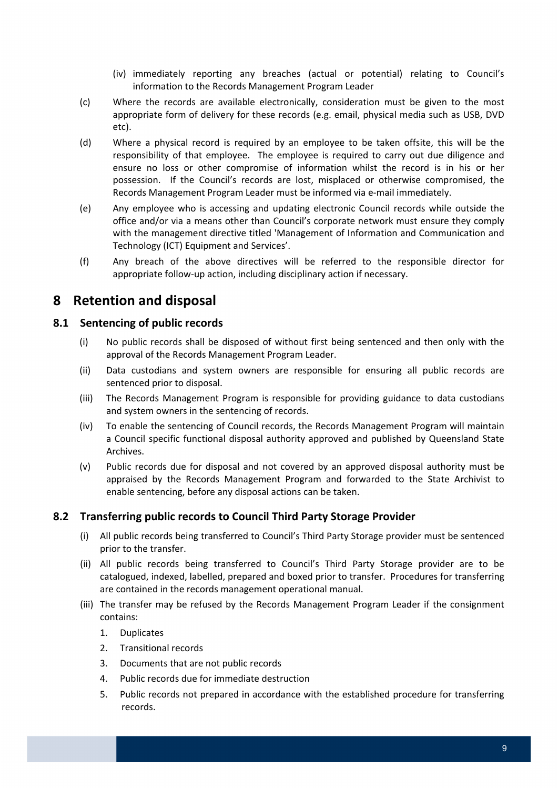- (iv) immediately reporting any breaches (actual or potential) relating to Council's information to the Records Management Program Leader
- (c) Where the records are available electronically, consideration must be given to the most appropriate form of delivery for these records (e.g. email, physical media such as USB, DVD etc).
- (d) Where a physical record is required by an employee to be taken offsite, this will be the responsibility of that employee. The employee is required to carry out due diligence and ensure no loss or other compromise of information whilst the record is in his or her possession. If the Council's records are lost, misplaced or otherwise compromised, the Records Management Program Leader must be informed via e‐mail immediately.
- (e) Any employee who is accessing and updating electronic Council records while outside the office and/or via a means other than Council's corporate network must ensure they comply with the management directive titled 'Management of Information and Communication and Technology (ICT) Equipment and Services'.
- (f) Any breach of the above directives will be referred to the responsible director for appropriate follow‐up action, including disciplinary action if necessary.

## **8 Retention and disposal**

### **8.1 Sentencing of public records**

- (i) No public records shall be disposed of without first being sentenced and then only with the approval of the Records Management Program Leader.
- (ii) Data custodians and system owners are responsible for ensuring all public records are sentenced prior to disposal.
- (iii) The Records Management Program is responsible for providing guidance to data custodians and system owners in the sentencing of records.
- (iv) To enable the sentencing of Council records, the Records Management Program will maintain a Council specific functional disposal authority approved and published by Queensland State Archives.
- (v) Public records due for disposal and not covered by an approved disposal authority must be appraised by the Records Management Program and forwarded to the State Archivist to enable sentencing, before any disposal actions can be taken.

### **8.2 Transferring public records to Council Third Party Storage Provider**

- (i) All public records being transferred to Council's Third Party Storage provider must be sentenced prior to the transfer.
- (ii) All public records being transferred to Council's Third Party Storage provider are to be catalogued, indexed, labelled, prepared and boxed prior to transfer. Procedures for transferring are contained in the records management operational manual.
- (iii) The transfer may be refused by the Records Management Program Leader if the consignment contains:
	- 1. Duplicates
	- 2. Transitional records
	- 3. Documents that are not public records
	- 4. Public records due for immediate destruction
	- 5. Public records not prepared in accordance with the established procedure for transferring records.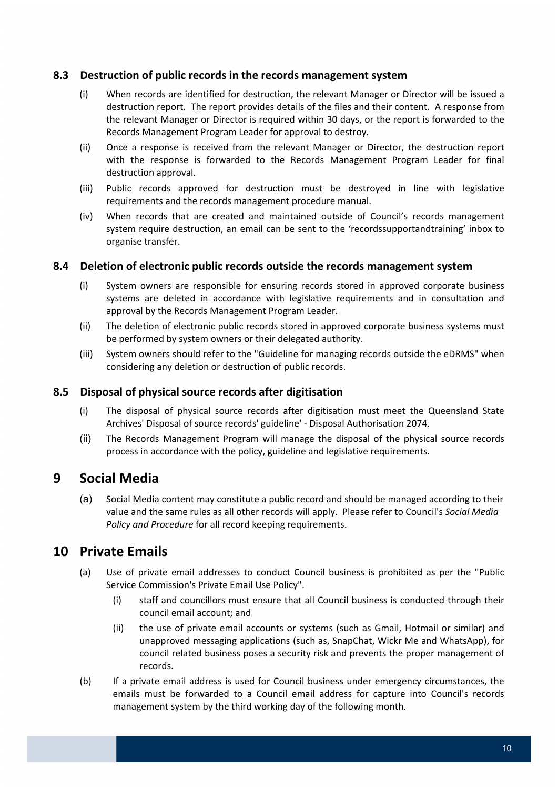#### **8.3 Destruction of public records in the records management system**

- (i) When records are identified for destruction, the relevant Manager or Director will be issued a destruction report. The report provides details of the files and their content. A response from the relevant Manager or Director is required within 30 days, or the report is forwarded to the Records Management Program Leader for approval to destroy.
- (ii) Once a response is received from the relevant Manager or Director, the destruction report with the response is forwarded to the Records Management Program Leader for final destruction approval.
- (iii) Public records approved for destruction must be destroyed in line with legislative requirements and the records management procedure manual.
- (iv) When records that are created and maintained outside of Council's records management system require destruction, an email can be sent to the 'recordssupportandtraining' inbox to organise transfer.

### **8.4 Deletion of electronic public records outside the records management system**

- (i) System owners are responsible for ensuring records stored in approved corporate business systems are deleted in accordance with legislative requirements and in consultation and approval by the Records Management Program Leader.
- (ii) The deletion of electronic public records stored in approved corporate business systems must be performed by system owners or their delegated authority.
- (iii) System owners should refer to the "Guideline for managing records outside the eDRMS" when considering any deletion or destruction of public records.

### **8.5 Disposal of physical source records after digitisation**

- (i) The disposal of physical source records after digitisation must meet the Queensland State Archives' Disposal of source records' guideline' ‐ Disposal Authorisation 2074.
- (ii) The Records Management Program will manage the disposal of the physical source records process in accordance with the policy, guideline and legislative requirements.

### **9 Social Media**

 (a) Social Media content may constitute a public record and should be managed according to their  value and the same rules as all other records will apply. Please refer to Council's *Social Media Policy and Procedure* for all record keeping requirements.

### **10 Private Emails**

- (a) Use of private email addresses to conduct Council business is prohibited as per the "Public Service Commission's Private Email Use Policy".
	- (i) staff and councillors must ensure that all Council business is conducted through their council email account; and
	- (ii) the use of private email accounts or systems (such as Gmail, Hotmail or similar) and unapproved messaging applications (such as, SnapChat, Wickr Me and WhatsApp), for council related business poses a security risk and prevents the proper management of records.
- (b) If a private email address is used for Council business under emergency circumstances, the emails must be forwarded to a Council email address for capture into Council's records management system by the third working day of the following month.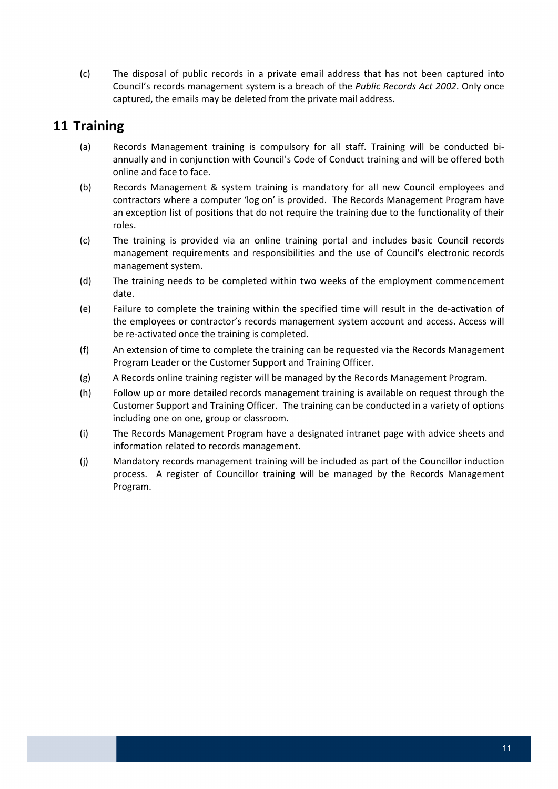(c) The disposal of public records in a private email address that has not been captured into  Council's records management system is a breach of the *Public Records Act 2002*. Only once captured, the emails may be deleted from the private mail address.

### **11 Training**

- (a) Records Management training is compulsory for all staff. Training will be conducted bi‐ annually and in conjunction with Council's Code of Conduct training and will be offered both online and face to face.
- (b) Records Management & system training is mandatory for all new Council employees and contractors where a computer 'log on' is provided. The Records Management Program have an exception list of positions that do not require the training due to the functionality of their roles.
- (c) The training is provided via an online training portal and includes basic Council records management requirements and responsibilities and the use of Council's electronic records management system.
- (d) The training needs to be completed within two weeks of the employment commencement date.
- (e) Failure to complete the training within the specified time will result in the de‐activation of the employees or contractor's records management system account and access. Access will be re‐activated once the training is completed.
- (f) An extension of time to complete the training can be requested via the Records Management Program Leader or the Customer Support and Training Officer.
- (g) A Records online training register will be managed by the Records Management Program.
- (h) Follow up or more detailed records management training is available on request through the Customer Support and Training Officer. The training can be conducted in a variety of options including one on one, group or classroom.
- (i) The Records Management Program have a designated intranet page with advice sheets and information related to records management.
- (j) Mandatory records management training will be included as part of the Councillor induction process. A register of Councillor training will be managed by the Records Management Program.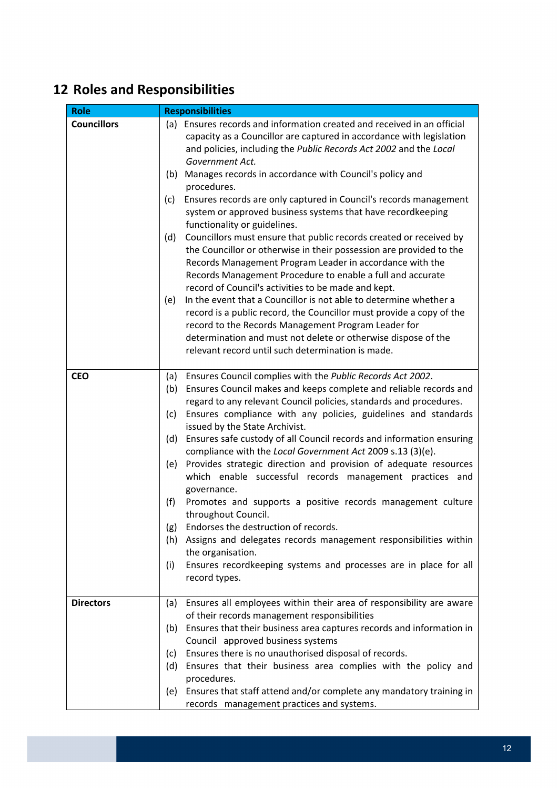# **12 Roles and Responsibilities**

| <b>Role</b>        | <b>Responsibilities</b>                                                                                                                                                                                                                                                                                                           |  |
|--------------------|-----------------------------------------------------------------------------------------------------------------------------------------------------------------------------------------------------------------------------------------------------------------------------------------------------------------------------------|--|
| <b>Councillors</b> | (a) Ensures records and information created and received in an official<br>capacity as a Councillor are captured in accordance with legislation<br>and policies, including the Public Records Act 2002 and the Local<br>Government Act.                                                                                           |  |
|                    | (b) Manages records in accordance with Council's policy and<br>procedures.                                                                                                                                                                                                                                                        |  |
|                    | Ensures records are only captured in Council's records management<br>(c)<br>system or approved business systems that have recordkeeping<br>functionality or guidelines.                                                                                                                                                           |  |
|                    | Councillors must ensure that public records created or received by<br>(d)<br>the Councillor or otherwise in their possession are provided to the<br>Records Management Program Leader in accordance with the<br>Records Management Procedure to enable a full and accurate<br>record of Council's activities to be made and kept. |  |
|                    | In the event that a Councillor is not able to determine whether a<br>(e)<br>record is a public record, the Councillor must provide a copy of the<br>record to the Records Management Program Leader for<br>determination and must not delete or otherwise dispose of the<br>relevant record until such determination is made.     |  |
| <b>CEO</b>         | Ensures Council complies with the Public Records Act 2002.<br>(a)                                                                                                                                                                                                                                                                 |  |
|                    | Ensures Council makes and keeps complete and reliable records and<br>(b)<br>regard to any relevant Council policies, standards and procedures.                                                                                                                                                                                    |  |
|                    | Ensures compliance with any policies, guidelines and standards<br>(c)<br>issued by the State Archivist.                                                                                                                                                                                                                           |  |
|                    | Ensures safe custody of all Council records and information ensuring<br>(d)<br>compliance with the Local Government Act 2009 s.13 (3)(e).                                                                                                                                                                                         |  |
|                    | (e) Provides strategic direction and provision of adequate resources<br>which enable successful records management practices and<br>governance.                                                                                                                                                                                   |  |
|                    | (f)<br>Promotes and supports a positive records management culture<br>throughout Council.                                                                                                                                                                                                                                         |  |
|                    | (g)<br>Endorses the destruction of records.                                                                                                                                                                                                                                                                                       |  |
|                    | Assigns and delegates records management responsibilities within<br>(h)<br>the organisation.                                                                                                                                                                                                                                      |  |
|                    | Ensures recordkeeping systems and processes are in place for all<br>(i)<br>record types.                                                                                                                                                                                                                                          |  |
| <b>Directors</b>   | Ensures all employees within their area of responsibility are aware<br>(a)<br>of their records management responsibilities                                                                                                                                                                                                        |  |
|                    | Ensures that their business area captures records and information in<br>(b)                                                                                                                                                                                                                                                       |  |
|                    | Council approved business systems                                                                                                                                                                                                                                                                                                 |  |
|                    | Ensures there is no unauthorised disposal of records.<br>(c)                                                                                                                                                                                                                                                                      |  |
|                    | Ensures that their business area complies with the policy and<br>(d)<br>procedures.                                                                                                                                                                                                                                               |  |
|                    | Ensures that staff attend and/or complete any mandatory training in<br>(e)<br>records management practices and systems.                                                                                                                                                                                                           |  |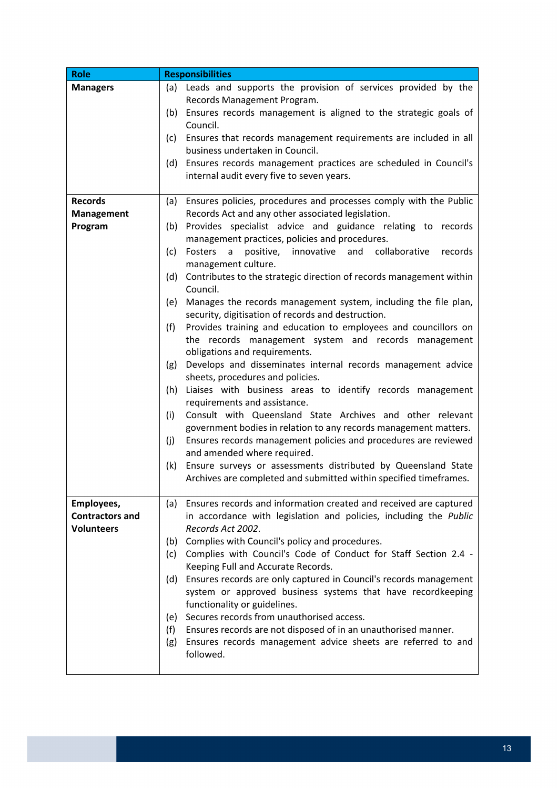| <b>Role</b>            | <b>Responsibilities</b>                                                    |  |
|------------------------|----------------------------------------------------------------------------|--|
| <b>Managers</b>        | (a) Leads and supports the provision of services provided by the           |  |
|                        | Records Management Program.                                                |  |
|                        | Ensures records management is aligned to the strategic goals of<br>(b)     |  |
|                        | Council.                                                                   |  |
|                        | Ensures that records management requirements are included in all<br>(c)    |  |
|                        | business undertaken in Council.                                            |  |
|                        | (d) Ensures records management practices are scheduled in Council's        |  |
|                        | internal audit every five to seven years.                                  |  |
|                        |                                                                            |  |
| <b>Records</b>         | (a) Ensures policies, procedures and processes comply with the Public      |  |
| <b>Management</b>      | Records Act and any other associated legislation.                          |  |
| Program                | Provides specialist advice and guidance relating to records<br>(b)         |  |
|                        | management practices, policies and procedures.                             |  |
|                        | Fosters a positive, innovative and collaborative<br>(c)<br>records         |  |
|                        | management culture.                                                        |  |
|                        | Contributes to the strategic direction of records management within<br>(d) |  |
|                        | Council.                                                                   |  |
|                        | (e) Manages the records management system, including the file plan,        |  |
|                        | security, digitisation of records and destruction.                         |  |
|                        | Provides training and education to employees and councillors on<br>(f)     |  |
|                        | the records management system and records management                       |  |
|                        | obligations and requirements.                                              |  |
|                        | (g) Develops and disseminates internal records management advice           |  |
|                        | sheets, procedures and policies.                                           |  |
|                        | Liaises with business areas to identify records management<br>(h)          |  |
|                        | requirements and assistance.                                               |  |
|                        | Consult with Queensland State Archives and other relevant<br>(i)           |  |
|                        | government bodies in relation to any records management matters.           |  |
|                        | Ensures records management policies and procedures are reviewed<br>(j)     |  |
|                        | and amended where required.                                                |  |
|                        | Ensure surveys or assessments distributed by Queensland State<br>(k)       |  |
|                        | Archives are completed and submitted within specified timeframes.          |  |
|                        |                                                                            |  |
| Employees,             | (a) Ensures records and information created and received are captured      |  |
| <b>Contractors and</b> | in accordance with legislation and policies, including the Public          |  |
| <b>Volunteers</b>      | Records Act 2002.                                                          |  |
|                        | Complies with Council's policy and procedures.<br>(b)                      |  |
|                        | Complies with Council's Code of Conduct for Staff Section 2.4 -<br>(c)     |  |
|                        | Keeping Full and Accurate Records.                                         |  |
|                        | Ensures records are only captured in Council's records management<br>(d)   |  |
|                        | system or approved business systems that have recordkeeping                |  |
|                        | functionality or guidelines.                                               |  |
|                        | (e) Secures records from unauthorised access.                              |  |
|                        | Ensures records are not disposed of in an unauthorised manner.<br>(f)      |  |
|                        | Ensures records management advice sheets are referred to and<br>(g)        |  |
|                        | followed.                                                                  |  |
|                        |                                                                            |  |